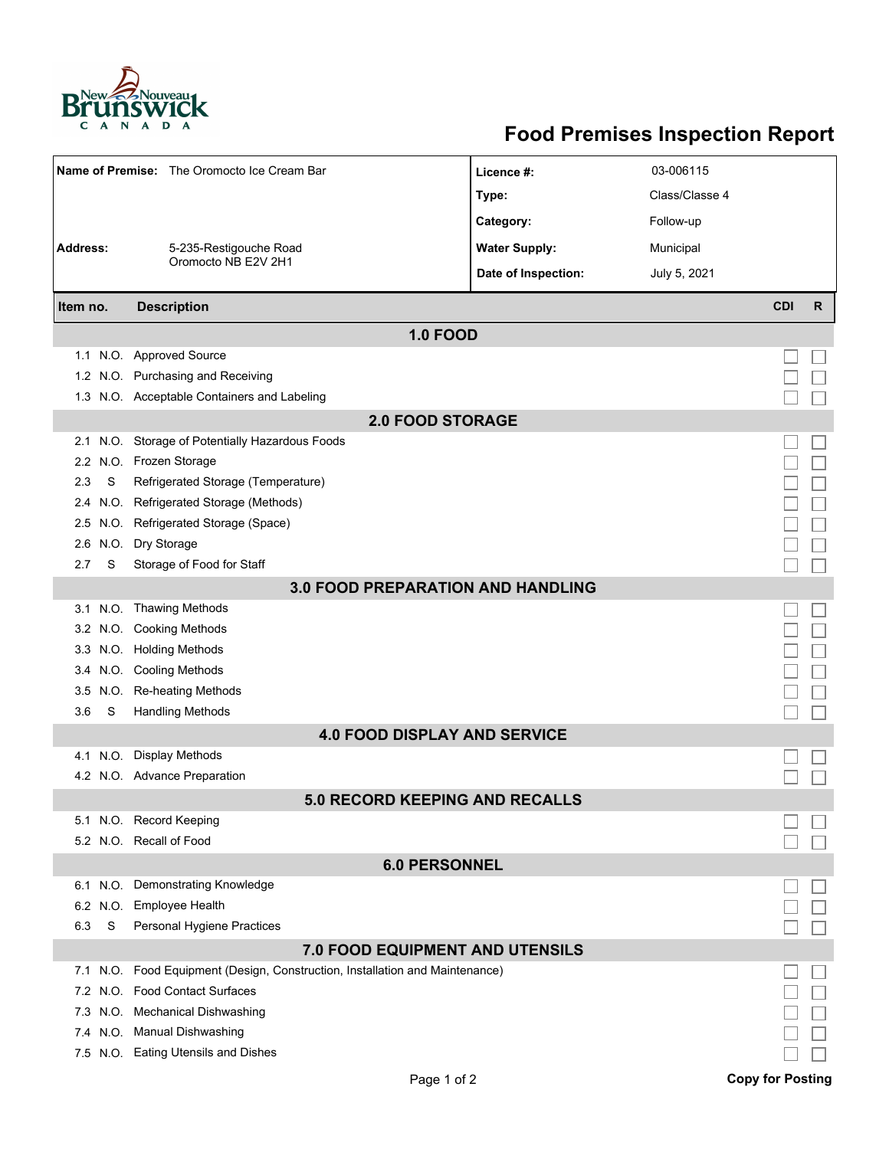

## **Food Premises Inspection Report**

| Name of Premise: The Oromocto Ice Cream Bar |   |                                                                          | Licence #:           | 03-006115      |            |              |  |  |  |
|---------------------------------------------|---|--------------------------------------------------------------------------|----------------------|----------------|------------|--------------|--|--|--|
|                                             |   |                                                                          | Type:                | Class/Classe 4 |            |              |  |  |  |
|                                             |   |                                                                          | Category:            | Follow-up      |            |              |  |  |  |
| <b>Address:</b>                             |   | 5-235-Restigouche Road                                                   | <b>Water Supply:</b> | Municipal      |            |              |  |  |  |
|                                             |   | Oromocto NB E2V 2H1                                                      |                      |                |            |              |  |  |  |
|                                             |   |                                                                          | Date of Inspection:  | July 5, 2021   |            |              |  |  |  |
| Item no.                                    |   | <b>Description</b>                                                       |                      |                | <b>CDI</b> | $\mathsf{R}$ |  |  |  |
| <b>1.0 FOOD</b>                             |   |                                                                          |                      |                |            |              |  |  |  |
|                                             |   | 1.1 N.O. Approved Source                                                 |                      |                |            |              |  |  |  |
| 1.2 <sub>1</sub>                            |   | N.O. Purchasing and Receiving                                            |                      |                |            |              |  |  |  |
|                                             |   | 1.3 N.O. Acceptable Containers and Labeling                              |                      |                |            |              |  |  |  |
| <b>2.0 FOOD STORAGE</b>                     |   |                                                                          |                      |                |            |              |  |  |  |
| 2.1                                         |   | N.O. Storage of Potentially Hazardous Foods                              |                      |                |            |              |  |  |  |
| $2.2^{\circ}$                               |   | N.O. Frozen Storage                                                      |                      |                |            |              |  |  |  |
| 2.3                                         | S | Refrigerated Storage (Temperature)                                       |                      |                |            |              |  |  |  |
| 2.4                                         |   | N.O. Refrigerated Storage (Methods)                                      |                      |                |            |              |  |  |  |
| 2.5                                         |   | N.O. Refrigerated Storage (Space)                                        |                      |                |            |              |  |  |  |
| 2.6                                         |   | N.O. Dry Storage                                                         |                      |                |            |              |  |  |  |
| 2.7                                         | S | Storage of Food for Staff                                                |                      |                |            |              |  |  |  |
| <b>3.0 FOOD PREPARATION AND HANDLING</b>    |   |                                                                          |                      |                |            |              |  |  |  |
|                                             |   | 3.1 N.O. Thawing Methods                                                 |                      |                |            |              |  |  |  |
| 3.2                                         |   | N.O. Cooking Methods                                                     |                      |                |            |              |  |  |  |
| 3.3                                         |   | N.O. Holding Methods                                                     |                      |                |            |              |  |  |  |
| 3.4                                         |   | N.O. Cooling Methods                                                     |                      |                |            |              |  |  |  |
| 3.5                                         |   | N.O. Re-heating Methods                                                  |                      |                |            |              |  |  |  |
| 3.6                                         | S | <b>Handling Methods</b>                                                  |                      |                |            |              |  |  |  |
| <b>4.0 FOOD DISPLAY AND SERVICE</b>         |   |                                                                          |                      |                |            |              |  |  |  |
|                                             |   | 4.1 N.O. Display Methods                                                 |                      |                |            |              |  |  |  |
|                                             |   | 4.2 N.O. Advance Preparation                                             |                      |                |            |              |  |  |  |
|                                             |   | <b>5.0 RECORD KEEPING AND RECALLS</b>                                    |                      |                |            |              |  |  |  |
|                                             |   | 5.1 N.O. Record Keeping                                                  |                      |                |            |              |  |  |  |
|                                             |   | 5.2 N.O. Recall of Food                                                  |                      |                |            |              |  |  |  |
| <b>6.0 PERSONNEL</b>                        |   |                                                                          |                      |                |            |              |  |  |  |
|                                             |   | 6.1 N.O. Demonstrating Knowledge                                         |                      |                |            |              |  |  |  |
| 6.2                                         |   | N.O. Employee Health                                                     |                      |                |            |              |  |  |  |
| 6.3                                         | S | Personal Hygiene Practices                                               |                      |                |            |              |  |  |  |
| <b>7.0 FOOD EQUIPMENT AND UTENSILS</b>      |   |                                                                          |                      |                |            |              |  |  |  |
| 7.1                                         |   | N.O. Food Equipment (Design, Construction, Installation and Maintenance) |                      |                |            |              |  |  |  |
|                                             |   | 7.2 N.O. Food Contact Surfaces                                           |                      |                |            |              |  |  |  |
| 7.3                                         |   | N.O. Mechanical Dishwashing                                              |                      |                |            |              |  |  |  |
| 7.4                                         |   | N.O. Manual Dishwashing                                                  |                      |                |            |              |  |  |  |
|                                             |   | 7.5 N.O. Eating Utensils and Dishes                                      |                      |                |            |              |  |  |  |